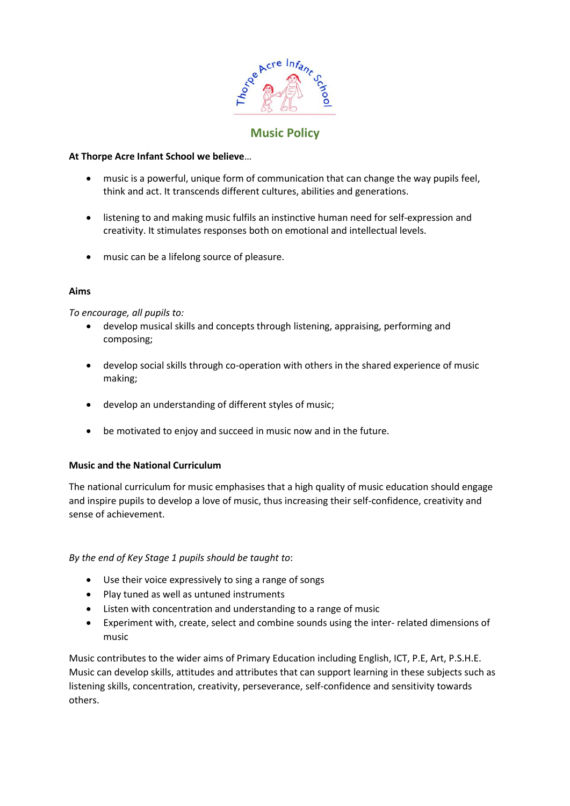

# **Music Policy**

### **At Thorpe Acre Infant School we believe**…

- music is a powerful, unique form of communication that can change the way pupils feel, think and act. It transcends different cultures, abilities and generations.
- listening to and making music fulfils an instinctive human need for self-expression and creativity. It stimulates responses both on emotional and intellectual levels.
- music can be a lifelong source of pleasure.

#### **Aims**

*To encourage, all pupils to:* 

- develop musical skills and concepts through listening, appraising, performing and composing;
- develop social skills through co-operation with others in the shared experience of music making;
- develop an understanding of different styles of music;
- be motivated to enjoy and succeed in music now and in the future.

#### **Music and the National Curriculum**

The national curriculum for music emphasises that a high quality of music education should engage and inspire pupils to develop a love of music, thus increasing their self-confidence, creativity and sense of achievement.

## *By the end of Key Stage 1 pupils should be taught to*:

- Use their voice expressively to sing a range of songs
- Play tuned as well as untuned instruments
- Listen with concentration and understanding to a range of music
- Experiment with, create, select and combine sounds using the inter- related dimensions of music

Music contributes to the wider aims of Primary Education including English, ICT, P.E, Art, P.S.H.E. Music can develop skills, attitudes and attributes that can support learning in these subjects such as listening skills, concentration, creativity, perseverance, self-confidence and sensitivity towards others.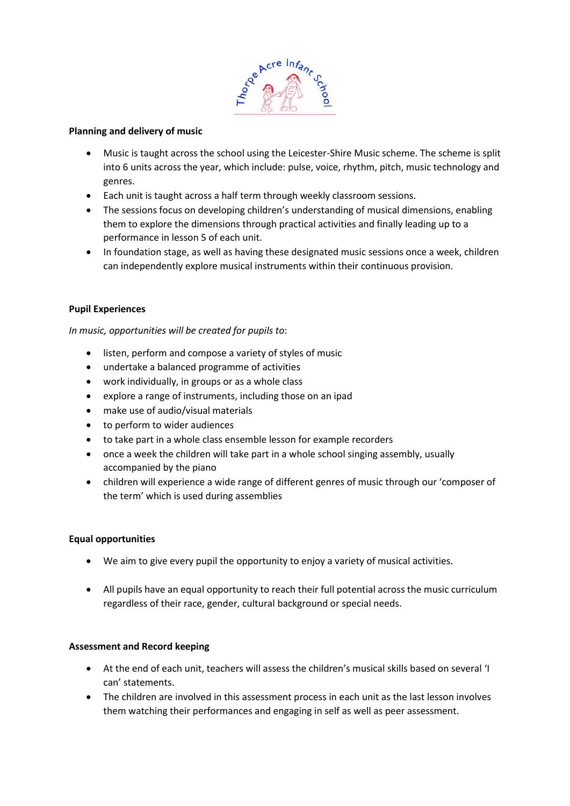

#### **Planning and delivery of music**

- Music is taught across the school using the Leicester-Shire Music scheme. The scheme is split into 6 units across the year, which include: pulse, voice, rhythm, pitch, music technology and genres.
- Each unit is taught across a half term through weekly classroom sessions.
- The sessions focus on developing children's understanding of musical dimensions, enabling them to explore the dimensions through practical activities and finally leading up to a performance in lesson 5 of each unit.
- In foundation stage, as well as having these designated music sessions once a week, children can independently explore musical instruments within their continuous provision.

#### **Pupil Experiences**

#### *In music, opportunities will be created for pupils to*:

- listen, perform and compose a variety of styles of music
- undertake a balanced programme of activities
- work individually, in groups or as a whole class
- explore a range of instruments, including those on an ipad
- make use of audio/visual materials
- to perform to wider audiences
- to take part in a whole class ensemble lesson for example recorders
- once a week the children will take part in a whole school singing assembly, usually accompanied by the piano
- children will experience a wide range of different genres of music through our 'composer of the term' which is used during assemblies

#### **Equal opportunities**

- We aim to give every pupil the opportunity to enjoy a variety of musical activities.
- All pupils have an equal opportunity to reach their full potential across the music curriculum regardless of their race, gender, cultural background or special needs.

#### **Assessment and Record keeping**

- At the end of each unit, teachers will assess the children's musical skills based on several 'I can' statements.
- The children are involved in this assessment process in each unit as the last lesson involves them watching their performances and engaging in self as well as peer assessment.